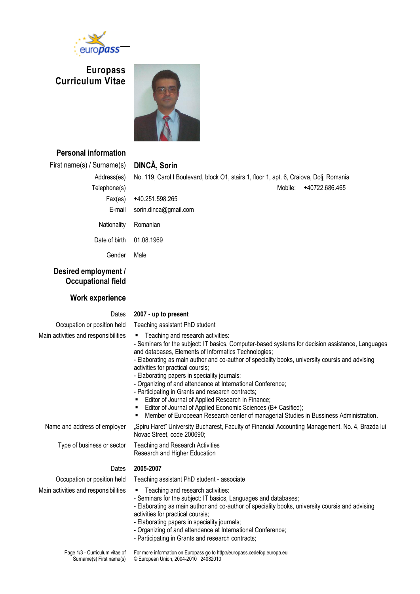

Surname(s) First name(s)

© European Union, 2004-2010 24082010

**Europass Curriculum Vitae**



| <b>Personal information</b>                       |                                                                                                                                                                                                                                                                                                                                                                                                                                                                                                                                                                                                                                                                                                                                |
|---------------------------------------------------|--------------------------------------------------------------------------------------------------------------------------------------------------------------------------------------------------------------------------------------------------------------------------------------------------------------------------------------------------------------------------------------------------------------------------------------------------------------------------------------------------------------------------------------------------------------------------------------------------------------------------------------------------------------------------------------------------------------------------------|
| First name(s) / Surname(s)                        | DINCĂ, Sorin                                                                                                                                                                                                                                                                                                                                                                                                                                                                                                                                                                                                                                                                                                                   |
| Address(es)                                       | No. 119, Carol I Boulevard, block O1, stairs 1, floor 1, apt. 6, Craiova, Dolj, Romania                                                                                                                                                                                                                                                                                                                                                                                                                                                                                                                                                                                                                                        |
| Telephone(s)                                      | Mobile:<br>+40722.686.465                                                                                                                                                                                                                                                                                                                                                                                                                                                                                                                                                                                                                                                                                                      |
| Fax(es)                                           | +40.251.598.265                                                                                                                                                                                                                                                                                                                                                                                                                                                                                                                                                                                                                                                                                                                |
| E-mail                                            | sorin.dinca@gmail.com                                                                                                                                                                                                                                                                                                                                                                                                                                                                                                                                                                                                                                                                                                          |
| Nationality                                       | Romanian                                                                                                                                                                                                                                                                                                                                                                                                                                                                                                                                                                                                                                                                                                                       |
| Date of birth                                     | 01.08.1969                                                                                                                                                                                                                                                                                                                                                                                                                                                                                                                                                                                                                                                                                                                     |
| Gender                                            | Male                                                                                                                                                                                                                                                                                                                                                                                                                                                                                                                                                                                                                                                                                                                           |
| Desired employment /<br><b>Occupational field</b> |                                                                                                                                                                                                                                                                                                                                                                                                                                                                                                                                                                                                                                                                                                                                |
| <b>Work experience</b>                            |                                                                                                                                                                                                                                                                                                                                                                                                                                                                                                                                                                                                                                                                                                                                |
| Dates                                             | 2007 - up to present                                                                                                                                                                                                                                                                                                                                                                                                                                                                                                                                                                                                                                                                                                           |
| Occupation or position held                       | Teaching assistant PhD student                                                                                                                                                                                                                                                                                                                                                                                                                                                                                                                                                                                                                                                                                                 |
| Main activities and responsibilities              | Teaching and research activities:<br>٠<br>- Seminars for the subject: IT basics, Computer-based systems for decision assistance, Languages<br>and databases, Elements of Informatics Technologies;<br>- Elaborating as main author and co-author of speciality books, university coursis and advising<br>activities for practical coursis;<br>- Elaborating papers in speciality journals;<br>- Organizing of and attendance at International Conference;<br>- Participating in Grants and research contracts;<br>Editor of Journal of Applied Research in Finance;<br>Editor of Journal of Applied Economic Sciences (B+ Casified);<br>Member of Europeean Research center of managerial Studies in Bussiness Administration. |
| Name and address of employer                      | "Spiru Haret" University Bucharest, Faculty of Financial Accounting Management, No. 4, Brazda lui<br>Novac Street, code 200690;                                                                                                                                                                                                                                                                                                                                                                                                                                                                                                                                                                                                |
| Type of business or sector                        | <b>Teaching and Research Activities</b><br>Research and Higher Education                                                                                                                                                                                                                                                                                                                                                                                                                                                                                                                                                                                                                                                       |
| Dates                                             | 2005-2007                                                                                                                                                                                                                                                                                                                                                                                                                                                                                                                                                                                                                                                                                                                      |
| Occupation or position held                       | Teaching assistant PhD student - associate                                                                                                                                                                                                                                                                                                                                                                                                                                                                                                                                                                                                                                                                                     |
| Main activities and responsibilities              | Teaching and research activities:<br>- Seminars for the subject: IT basics, Languages and databases;<br>- Elaborating as main author and co-author of speciality books, university coursis and advising<br>activities for practical coursis;<br>- Elaborating papers in speciality journals;<br>- Organizing of and attendance at International Conference;<br>- Participating in Grants and research contracts;                                                                                                                                                                                                                                                                                                               |
|                                                   | Page 1/3 - Curriculum vitae of   For more information on Europass go to http://europass.cedefop.europa.eu                                                                                                                                                                                                                                                                                                                                                                                                                                                                                                                                                                                                                      |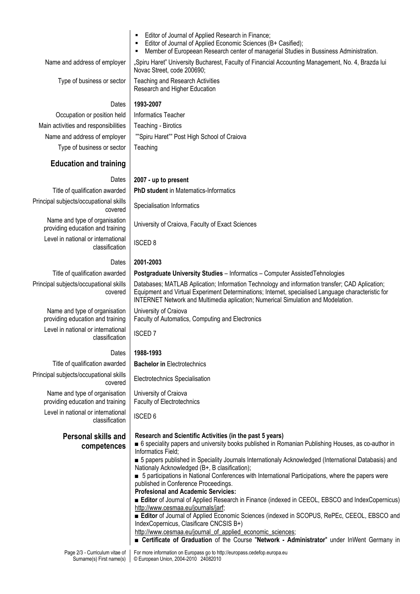- Editor of Journal of Applied Research in Finance;
- Editor of Journal of Applied Economic Sciences (B+ Casified);
- Member of Europeean Research center of managerial Studies in Bussiness Administration.

Name and address of employer | "Spiru Haret" University Bucharest, Faculty of Financial Accounting Management, No. 4, Brazda lui

Type of business or sector  $\vert$  Teaching and Research Activities Research and Higher Education

Novac Street, code 200690;

### Dates **1993-2007**

Occupation or position held | Informatics Teacher Main activities and responsibilities | Teaching - Birotics Name and address of employer | ""Spiru Haret" Post High School of Craiova Type of business or sector  $\vert$  Teaching

# **Education and training**

### Dates **2007 - up to present**

Title of qualification awarded **PhD student** in Matematics-Informatics Principal subjects/occupational skills

Name and type of organisation providing education and training University of Craiova, Faculty of Exact Sciences

Level in national or international classification | ISCED 8

Principal subjects/occupational skills covered

> Name and type of organisation providing education and training

Level in national or international Thermational ISCED 7

Principal subjects/occupational skills Name and type of organisation

providing education and training Level in national or international classification | ISCED 6

# **Personal skills and competences**

### Dates **2001-2003**

### Title of qualification awarded **Postgraduate University Studies** – Informatics – Computer AssistedTehnologies

Databases; MATLAB Aplication; Information Technology and information transfer; CAD Aplication; Equipment and Virtual Experiment Determinations; Internet, specialised Language characteristic for INTERNET Network and Multimedia aplication; Numerical Simulation and Modelation.

University of Craiova Faculty of Automatics, Computing and Electronics

# Dates **1988-1993**

Title of qualification awarded **Bachelor in** Electrotechnics

covered Electrotechnics Specialisation

University of Craiova Faculty of Electrotechnics

### **Research and Scientific Activities (in the past 5 years)**

- 6 speciality papers and university books published in Romanian Publishing Houses, as co-author in Informatics Field;
- 5 papers published in Speciality Journals Internationaly Acknowledged (International Databasis) and Nationaly Acknowledged (B+, B clasification);
- 5 participations in National Conferences with International Participations, where the papers were published in Conference Proceedings.
- **Profesional and Academic Servicies:**
- **Editor** of Journal of Applied Research in Finance (indexed in CEEOL, EBSCO and IndexCopernicus) http://www.cesmaa.eu/journals/jarf;
- **Editor** of Journal of Applied Economic Sciences (indexed in SCOPUS, RePEc, CEEOL, EBSCO and IndexCopernicus, Clasificare CNCSIS B+)

http://www.cesmaa.eu/journal\_of\_applied\_economic\_sciences;

■ **Certificate of Graduation** of the Course "**Network - Administrator**" under InWent Germany in

nal SKIIIS Specialisation Informatics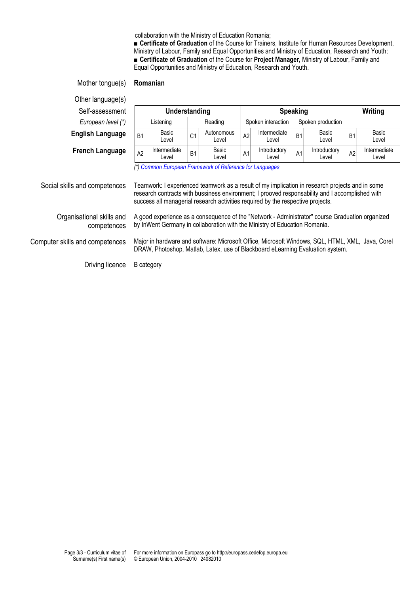collaboration with the Ministry of Education Romania;

■ **Certificate of Graduation** of the Course for Trainers, Institute for Human Resources Development, Ministry of Labour, Family and Equal Opportunities and Ministry of Education, Research and Youth; ■ **Certificate of Graduation** of the Course for **Project Manager,** Ministry of Labour, Family and Equal Opportunities and Ministry of Education, Research and Youth.

| Mother tongue(s)                         |                                                                                                                                                                                                                                                                                                                                                   | Romanian              |                |                     |    |                                         |                |                       |                |                       |
|------------------------------------------|---------------------------------------------------------------------------------------------------------------------------------------------------------------------------------------------------------------------------------------------------------------------------------------------------------------------------------------------------|-----------------------|----------------|---------------------|----|-----------------------------------------|----------------|-----------------------|----------------|-----------------------|
| Other language(s)                        |                                                                                                                                                                                                                                                                                                                                                   |                       |                |                     |    |                                         |                |                       |                |                       |
| Self-assessment                          |                                                                                                                                                                                                                                                                                                                                                   | Understanding         |                |                     |    | <b>Speaking</b>                         |                |                       | Writing        |                       |
| European level (*)                       |                                                                                                                                                                                                                                                                                                                                                   | Listening             |                | Reading             |    | Spoken interaction<br>Spoken production |                |                       |                |                       |
| <b>English Language</b>                  | B <sub>1</sub>                                                                                                                                                                                                                                                                                                                                    | Basic<br>Level        | C <sub>1</sub> | Autonomous<br>Level | A2 | Intermediate<br>Level                   | B <sub>1</sub> | Basic<br>Level        | B <sub>1</sub> | Basic<br>Level        |
| <b>French Language</b>                   | A <sub>2</sub>                                                                                                                                                                                                                                                                                                                                    | Intermediate<br>Level | B <sub>1</sub> | Basic<br>Level      | A1 | Introductory<br>Level                   | A1             | Introductory<br>Level | A2             | Intermediate<br>Level |
| Social skills and competences            | (*) Common European Framework of Reference for Languages<br>Teamwork: I experienced teamwork as a result of my implication in research projects and in some<br>research contracts with bussiness environment; I prooved responsability and I accomplished with<br>success all managerial research activities required by the respective projects. |                       |                |                     |    |                                         |                |                       |                |                       |
| Organisational skills and<br>competences | A good experience as a consequence of the "Network - Administrator" course Graduation organized<br>by InWent Germany in collaboration with the Ministry of Education Romania.                                                                                                                                                                     |                       |                |                     |    |                                         |                |                       |                |                       |
| Computer skills and competences          | Major in hardware and software: Microsoft Office, Microsoft Windows, SQL, HTML, XML, Java, Corel<br>DRAW, Photoshop, Matlab, Latex, use of Blackboard eLearning Evaluation system.                                                                                                                                                                |                       |                |                     |    |                                         |                |                       |                |                       |
| Driving licence                          |                                                                                                                                                                                                                                                                                                                                                   | B category            |                |                     |    |                                         |                |                       |                |                       |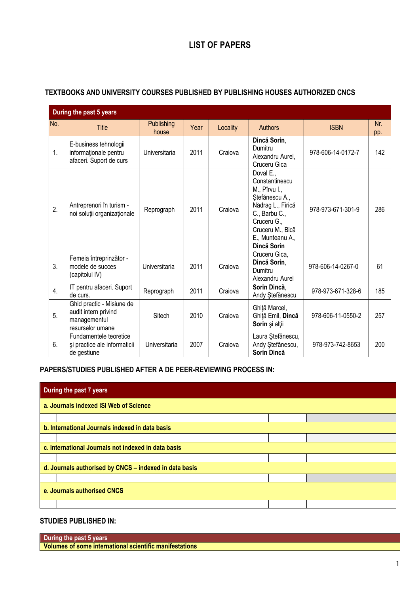# **LIST OF PAPERS**

|     | During the past 5 years                                                               |                     |      |          |                                                                                                                                                                            |                   |            |
|-----|---------------------------------------------------------------------------------------|---------------------|------|----------|----------------------------------------------------------------------------------------------------------------------------------------------------------------------------|-------------------|------------|
| No. | <b>Title</b>                                                                          | Publishing<br>house | Year | Locality | <b>Authors</b>                                                                                                                                                             | <b>ISBN</b>       | Nr.<br>pp. |
| 1.  | E-business tehnologii<br>informationale pentru<br>afaceri. Suport de curs             | Universitaria       | 2011 | Craiova  | Dincă Sorin,<br>Dumitru<br>Alexandru Aurel,<br>Cruceru Gica                                                                                                                | 978-606-14-0172-7 | 142        |
| 2.  | Antreprenori în turism -<br>noi soluții organizaționale                               | Reprograph          | 2011 | Craiova  | Doval E.,<br>Constantinescu<br>M., Pîrvu I.,<br>Ștefănescu A.,<br>Nădrag L., Firică<br>C., Barbu C.,<br>Cruceru G.,<br>Cruceru M., Bică<br>E., Munteanu A.,<br>Dincă Sorin | 978-973-671-301-9 | 286        |
| 3.  | Femeia întreprinzător -<br>modele de succes<br>(capitolul IV)                         | Universitaria       | 2011 | Craiova  | Cruceru Gica,<br>Dincă Sorin,<br>Dumitru<br>Alexandru Aurel                                                                                                                | 978-606-14-0267-0 | 61         |
| 4.  | IT pentru afaceri. Suport<br>de curs.                                                 | Reprograph          | 2011 | Craiova  | Sorin Dincă.<br>Andy Ştefănescu                                                                                                                                            | 978-973-671-328-6 | 185        |
| 5.  | Ghid practic - Misiune de<br>audit intern privind<br>managementul<br>resurselor umane | Sitech              | 2010 | Craiova  | Ghiță Marcel,<br>Ghiță Emil, Dincă<br>Sorin și alții                                                                                                                       | 978-606-11-0550-2 | 257        |
| 6.  | Fundamentele teoretice<br>și practice ale informaticii<br>de gestiune                 | Universitaria       | 2007 | Craiova  | Laura Ștefănescu,<br>Andy Stefănescu,<br>Sorin Dincă                                                                                                                       | 978-973-742-8653  | 200        |

# **TEXTBOOKS AND UNIVERSITY COURSES PUBLISHED BY PUBLISHING HOUSES AUTHORIZED CNCS**

**PAPERS/STUDIES PUBLISHED AFTER A DE PEER-REVIEWING PROCESS IN:**

|                             | During the past 7 years                                |  |  |  |  |  |  |
|-----------------------------|--------------------------------------------------------|--|--|--|--|--|--|
|                             | a. Journals indexed ISI Web of Science                 |  |  |  |  |  |  |
|                             |                                                        |  |  |  |  |  |  |
|                             | b. International Journals indexed in data basis        |  |  |  |  |  |  |
|                             |                                                        |  |  |  |  |  |  |
|                             | c. International Journals not indexed in data basis    |  |  |  |  |  |  |
|                             |                                                        |  |  |  |  |  |  |
|                             | d. Journals authorised by CNCS - indexed in data basis |  |  |  |  |  |  |
|                             |                                                        |  |  |  |  |  |  |
| e. Journals authorised CNCS |                                                        |  |  |  |  |  |  |
|                             |                                                        |  |  |  |  |  |  |

# **STUDIES PUBLISHED IN:**

| During the past 5 years                                 |  |
|---------------------------------------------------------|--|
| Volumes of some international scientific manifestations |  |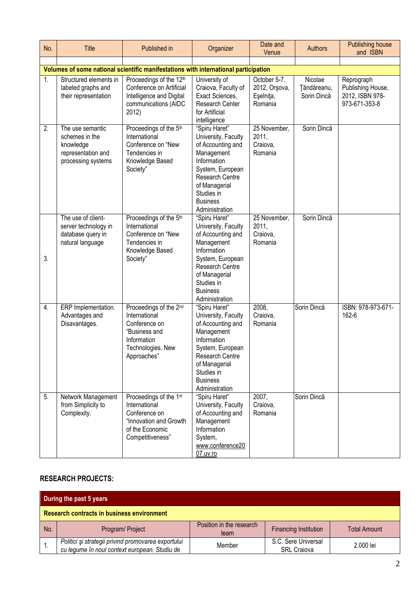| No.            | <b>Title</b>                                                                                | Published in                                                                                                                 | Organizer                                                                                                                                                                                         | Date and<br>Venue                                     | <b>Authors</b>                        | <b>Publishing house</b><br>and ISBN                                 |  |  |  |
|----------------|---------------------------------------------------------------------------------------------|------------------------------------------------------------------------------------------------------------------------------|---------------------------------------------------------------------------------------------------------------------------------------------------------------------------------------------------|-------------------------------------------------------|---------------------------------------|---------------------------------------------------------------------|--|--|--|
|                |                                                                                             |                                                                                                                              |                                                                                                                                                                                                   |                                                       |                                       |                                                                     |  |  |  |
|                | Volumes of some national scientific manifestations with international participation         |                                                                                                                              |                                                                                                                                                                                                   |                                                       |                                       |                                                                     |  |  |  |
| 1.             | Structured elements in<br>labeled graphs and<br>their representation                        | Proceedings of the 12th<br>Conference on Artificial<br>Intelligence and Digital<br>communications (AIDC<br>2012)             | University of<br>Craiova, Faculty of<br>Exact Sciences,<br>Research Center<br>for Artificial<br>intelligence                                                                                      | October 5-7,<br>2012, Orşova,<br>Eşelniţa,<br>Romania | Nicolae<br>Tăndăreanu,<br>Sorin Dincă | Reprograph<br>Publishing House,<br>2012, ISBN 978-<br>973-671-353-8 |  |  |  |
| 2.             | The use semantic<br>schemes in the<br>knowledge<br>representation and<br>processing systems | Proceedings of the 5th<br>International<br>Conference on "New<br>Tendencies in<br>Knowledge Based<br>Society"                | "Spiru Haret"<br>University, Faculty<br>of Accounting and<br>Management<br>Information<br>System, European<br>Research Centre<br>of Managerial<br>Studies in<br><b>Business</b><br>Administration | 25 November,<br>2011,<br>Craiova,<br>Romania          | Sorin Dincă                           |                                                                     |  |  |  |
| 3.             | The use of client-<br>server technology in<br>database query in<br>natural language         | Proceedings of the 5th<br>International<br>Conference on "New<br>Tendencies in<br>Knowledge Based<br>Society"                | "Spiru Haret"<br>University, Faculty<br>of Accounting and<br>Management<br>Information<br>System, European<br>Research Centre<br>of Managerial<br>Studies in<br><b>Business</b><br>Administration | 25 November,<br>2011,<br>Craiova,<br>Romania          | Sorin Dincă                           |                                                                     |  |  |  |
| 4.             | ERP Implementation.<br>Advantages and<br>Disavantages.                                      | Proceedings of the 2nd<br>International<br>Conference on<br>"Business and<br>Information<br>Technologies. New<br>Approaches" | "Spiru Haret"<br>University, Faculty<br>of Accounting and<br>Management<br>Information<br>System, European<br>Research Centre<br>of Managerial<br>Studies in<br><b>Business</b><br>Administration | 2008,<br>Craiova,<br>Romania                          | Sorin Dincă                           | ISBN: 978-973-671-<br>162-6                                         |  |  |  |
| 5 <sub>1</sub> | Network Management<br>from Simplicity to<br>Complexity.                                     | Proceedings of the 1st<br>International<br>Conference on<br>"Innovation and Growth<br>of the Economic<br>Competitiveness"    | "Spiru Haret"<br>University, Faculty<br>of Accounting and<br>Management<br>Information<br>System,<br>www.conference20<br>07.uv.ro                                                                 | 2007,<br>Craiova,<br>Romania                          | Sorin Dincă                           |                                                                     |  |  |  |

# **RESEARCH PROJECTS:**

| During the past 5 years                           |                                                                                                      |                                  |                                           |                     |  |  |  |
|---------------------------------------------------|------------------------------------------------------------------------------------------------------|----------------------------------|-------------------------------------------|---------------------|--|--|--|
| <b>Research contracts in business environment</b> |                                                                                                      |                                  |                                           |                     |  |  |  |
| No.                                               | Program/ Project                                                                                     | Position in the research<br>team | <b>Financing Institution</b>              | <b>Total Amount</b> |  |  |  |
|                                                   | Politici și strategii privind promovarea exportului<br>cu legume în noul context european. Studiu de | Member                           | S.C. Sere Universal<br><b>SRL Craiova</b> | 2.000 lei           |  |  |  |